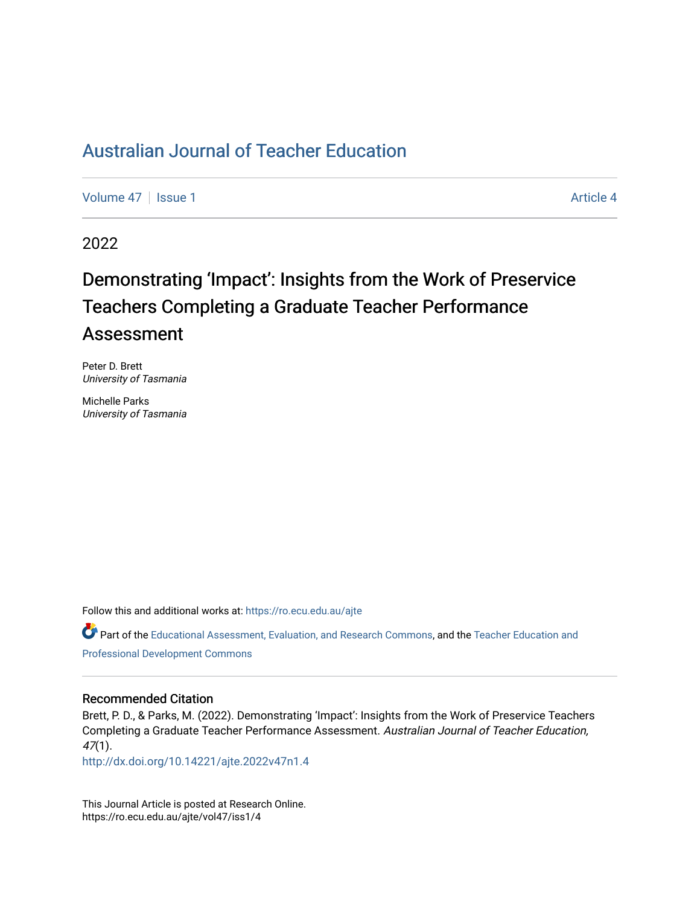# [Australian Journal of Teacher Education](https://ro.ecu.edu.au/ajte)

[Volume 47](https://ro.ecu.edu.au/ajte/vol47) | [Issue 1](https://ro.ecu.edu.au/ajte/vol47/iss1) Article 4

2022

# Demonstrating 'Impact': Insights from the Work of Preservice Teachers Completing a Graduate Teacher Performance Assessment

Peter D. Brett University of Tasmania

Michelle Parks University of Tasmania

Follow this and additional works at: [https://ro.ecu.edu.au/ajte](https://ro.ecu.edu.au/ajte?utm_source=ro.ecu.edu.au%2Fajte%2Fvol47%2Fiss1%2F4&utm_medium=PDF&utm_campaign=PDFCoverPages) 

Part of the [Educational Assessment, Evaluation, and Research Commons,](http://network.bepress.com/hgg/discipline/796?utm_source=ro.ecu.edu.au%2Fajte%2Fvol47%2Fiss1%2F4&utm_medium=PDF&utm_campaign=PDFCoverPages) and the [Teacher Education and](http://network.bepress.com/hgg/discipline/803?utm_source=ro.ecu.edu.au%2Fajte%2Fvol47%2Fiss1%2F4&utm_medium=PDF&utm_campaign=PDFCoverPages)  [Professional Development Commons](http://network.bepress.com/hgg/discipline/803?utm_source=ro.ecu.edu.au%2Fajte%2Fvol47%2Fiss1%2F4&utm_medium=PDF&utm_campaign=PDFCoverPages) 

#### Recommended Citation

Brett, P. D., & Parks, M. (2022). Demonstrating 'Impact': Insights from the Work of Preservice Teachers Completing a Graduate Teacher Performance Assessment. Australian Journal of Teacher Education, 47(1).

<http://dx.doi.org/10.14221/ajte.2022v47n1.4>

This Journal Article is posted at Research Online. https://ro.ecu.edu.au/ajte/vol47/iss1/4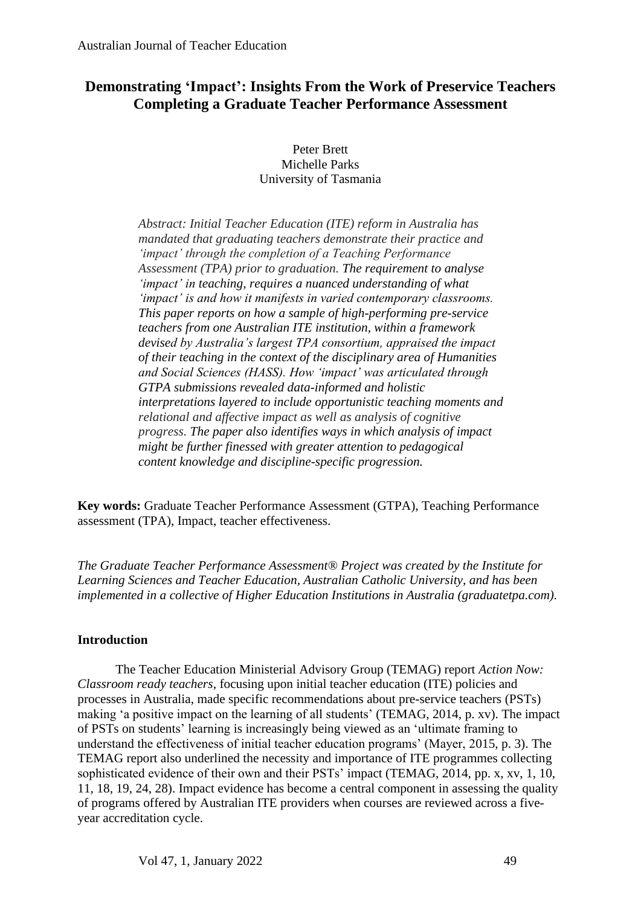## **Demonstrating 'Impact': Insights From the Work of Preservice Teachers Completing a Graduate Teacher Performance Assessment**

Peter Brett Michelle Parks University of Tasmania

*Abstract: Initial Teacher Education (ITE) reform in Australia has mandated that graduating teachers demonstrate their practice and 'impact' through the completion of a Teaching Performance Assessment (TPA) prior to graduation. The requirement to analyse 'impact' in teaching, requires a nuanced understanding of what 'impact' is and how it manifests in varied contemporary classrooms. This paper reports on how a sample of high-performing pre-service teachers from one Australian ITE institution, within a framework devised by Australia's largest TPA consortium, appraised the impact of their teaching in the context of the disciplinary area of Humanities and Social Sciences (HASS). How 'impact' was articulated through GTPA submissions revealed data-informed and holistic interpretations layered to include opportunistic teaching moments and relational and affective impact as well as analysis of cognitive progress. The paper also identifies ways in which analysis of impact might be further finessed with greater attention to pedagogical content knowledge and discipline-specific progression.*

**Key words:** Graduate Teacher Performance Assessment (GTPA), Teaching Performance assessment (TPA), Impact, teacher effectiveness.

*The Graduate Teacher Performance Assessment® Project was created by the Institute for Learning Sciences and Teacher Education, Australian Catholic University, and has been implemented in a collective of Higher Education Institutions in Australia (graduatetpa.com).*

### **Introduction**

The Teacher Education Ministerial Advisory Group (TEMAG) report *Action Now: Classroom ready teachers*, focusing upon initial teacher education (ITE) policies and processes in Australia, made specific recommendations about pre-service teachers (PSTs) making 'a positive impact on the learning of all students' (TEMAG, 2014, p. xv). The impact of PSTs on students' learning is increasingly being viewed as an 'ultimate framing to understand the effectiveness of initial teacher education programs' (Mayer, 2015, p. 3). The TEMAG report also underlined the necessity and importance of ITE programmes collecting sophisticated evidence of their own and their PSTs' impact (TEMAG, 2014, pp. x, xv, 1, 10, 11, 18, 19, 24, 28). Impact evidence has become a central component in assessing the quality of programs offered by Australian ITE providers when courses are reviewed across a fiveyear accreditation cycle.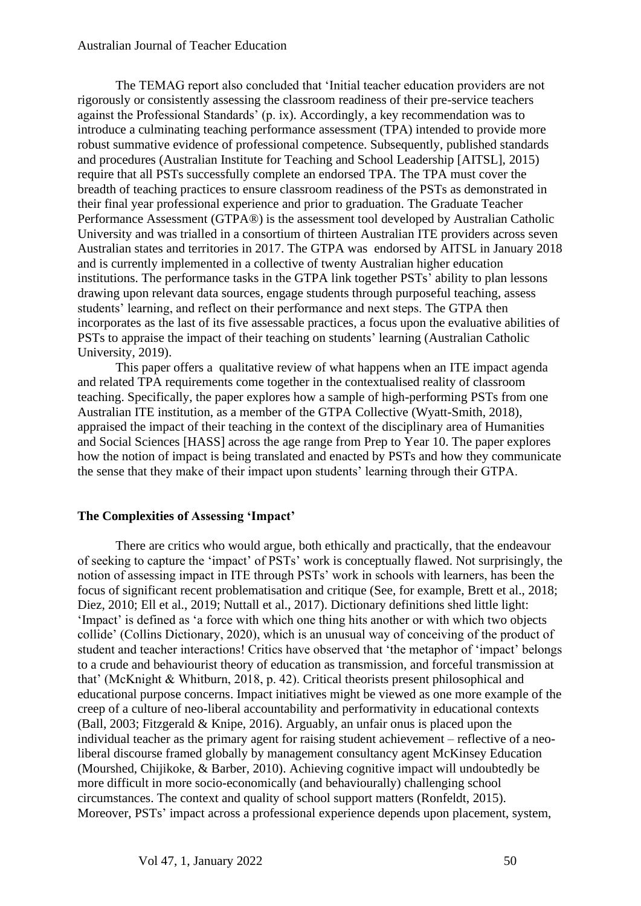#### Australian Journal of Teacher Education

The TEMAG report also concluded that 'Initial teacher education providers are not rigorously or consistently assessing the classroom readiness of their pre-service teachers against the Professional Standards' (p. ix). Accordingly, a key recommendation was to introduce a culminating teaching performance assessment (TPA) intended to provide more robust summative evidence of professional competence. Subsequently, published standards and procedures (Australian Institute for Teaching and School Leadership [AITSL], 2015) require that all PSTs successfully complete an endorsed TPA. The TPA must cover the breadth of teaching practices to ensure classroom readiness of the PSTs as demonstrated in their final year professional experience and prior to graduation. The Graduate Teacher Performance Assessment (GTPA®) is the assessment tool developed by Australian Catholic University and was trialled in a consortium of thirteen Australian ITE providers across seven Australian states and territories in 2017. The GTPA was endorsed by AITSL in January 2018 and is currently implemented in a collective of twenty Australian higher education institutions. The performance tasks in the GTPA link together PSTs' ability to plan lessons drawing upon relevant data sources, engage students through purposeful teaching, assess students' learning, and reflect on their performance and next steps. The GTPA then incorporates as the last of its five assessable practices, a focus upon the evaluative abilities of PSTs to appraise the impact of their teaching on students' learning (Australian Catholic University, 2019).

This paper offers a qualitative review of what happens when an ITE impact agenda and related TPA requirements come together in the contextualised reality of classroom teaching. Specifically, the paper explores how a sample of high-performing PSTs from one Australian ITE institution, as a member of the GTPA Collective (Wyatt-Smith, 2018), appraised the impact of their teaching in the context of the disciplinary area of Humanities and Social Sciences [HASS] across the age range from Prep to Year 10. The paper explores how the notion of impact is being translated and enacted by PSTs and how they communicate the sense that they make of their impact upon students' learning through their GTPA.

#### **The Complexities of Assessing 'Impact'**

There are critics who would argue, both ethically and practically, that the endeavour of seeking to capture the 'impact' of PSTs' work is conceptually flawed. Not surprisingly, the notion of assessing impact in ITE through PSTs' work in schools with learners, has been the focus of significant recent problematisation and critique (See, for example, Brett et al., 2018; Diez, 2010; Ell et al., 2019; Nuttall et al., 2017). Dictionary definitions shed little light: 'Impact' is defined as 'a force with which one thing hits another or with which two objects collide' (Collins Dictionary, 2020), which is an unusual way of conceiving of the product of student and teacher interactions! Critics have observed that 'the metaphor of 'impact' belongs to a crude and behaviourist theory of education as transmission, and forceful transmission at that' (McKnight & Whitburn, 2018, p. 42). Critical theorists present philosophical and educational purpose concerns. Impact initiatives might be viewed as one more example of the creep of a culture of neo-liberal accountability and performativity in educational contexts (Ball, 2003; Fitzgerald & Knipe, 2016). Arguably, an unfair onus is placed upon the individual teacher as the primary agent for raising student achievement – reflective of a neoliberal discourse framed globally by management consultancy agent McKinsey Education (Mourshed, Chijikoke, & Barber, 2010). Achieving cognitive impact will undoubtedly be more difficult in more socio-economically (and behaviourally) challenging school circumstances. The context and quality of school support matters (Ronfeldt, 2015). Moreover, PSTs' impact across a professional experience depends upon placement, system,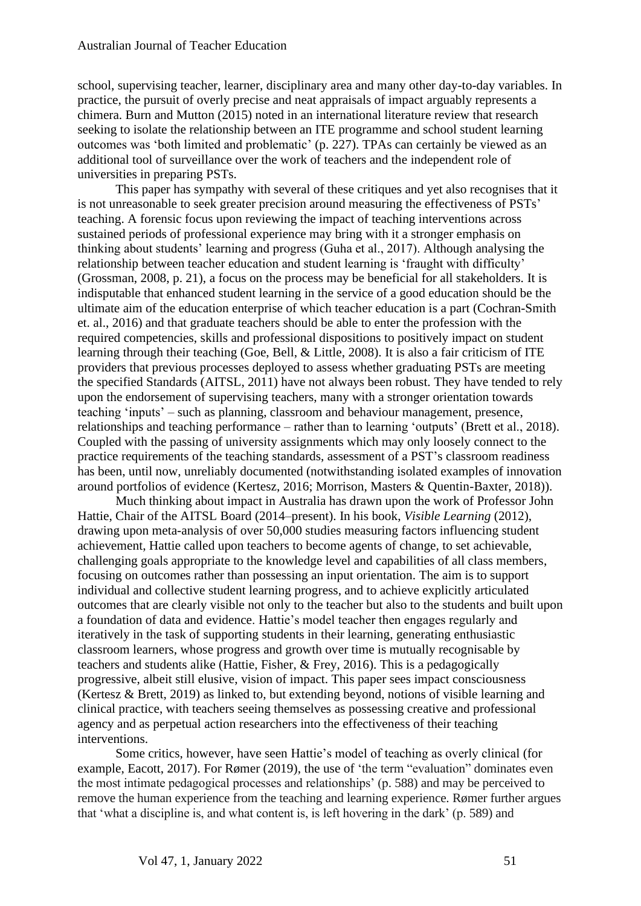school, supervising teacher, learner, disciplinary area and many other day-to-day variables. In practice, the pursuit of overly precise and neat appraisals of impact arguably represents a chimera. Burn and Mutton (2015) noted in an international literature review that research seeking to isolate the relationship between an ITE programme and school student learning outcomes was 'both limited and problematic' (p. 227). TPAs can certainly be viewed as an additional tool of surveillance over the work of teachers and the independent role of universities in preparing PSTs.

This paper has sympathy with several of these critiques and yet also recognises that it is not unreasonable to seek greater precision around measuring the effectiveness of PSTs' teaching. A forensic focus upon reviewing the impact of teaching interventions across sustained periods of professional experience may bring with it a stronger emphasis on thinking about students' learning and progress (Guha et al., 2017). Although analysing the relationship between teacher education and student learning is 'fraught with difficulty' (Grossman, 2008, p. 21), a focus on the process may be beneficial for all stakeholders. It is indisputable that enhanced student learning in the service of a good education should be the ultimate aim of the education enterprise of which teacher education is a part (Cochran-Smith et. al., 2016) and that graduate teachers should be able to enter the profession with the required competencies, skills and professional dispositions to positively impact on student learning through their teaching (Goe, Bell, & Little, 2008). It is also a fair criticism of ITE providers that previous processes deployed to assess whether graduating PSTs are meeting the specified Standards (AITSL, 2011) have not always been robust. They have tended to rely upon the endorsement of supervising teachers, many with a stronger orientation towards teaching 'inputs' – such as planning, classroom and behaviour management, presence, relationships and teaching performance – rather than to learning 'outputs' (Brett et al., 2018). Coupled with the passing of university assignments which may only loosely connect to the practice requirements of the teaching standards, assessment of a PST's classroom readiness has been, until now, unreliably documented (notwithstanding isolated examples of innovation around portfolios of evidence (Kertesz, 2016; Morrison, Masters & Quentin-Baxter, 2018)).

Much thinking about impact in Australia has drawn upon the work of Professor John Hattie, Chair of the AITSL Board (2014–present). In his book, *Visible Learning* (2012), drawing upon meta-analysis of over 50,000 studies measuring factors influencing student achievement, Hattie called upon teachers to become agents of change, to set achievable, challenging goals appropriate to the knowledge level and capabilities of all class members, focusing on outcomes rather than possessing an input orientation. The aim is to support individual and collective student learning progress, and to achieve explicitly articulated outcomes that are clearly visible not only to the teacher but also to the students and built upon a foundation of data and evidence. Hattie's model teacher then engages regularly and iteratively in the task of supporting students in their learning, generating enthusiastic classroom learners, whose progress and growth over time is mutually recognisable by teachers and students alike (Hattie, Fisher, & Frey, 2016). This is a pedagogically progressive, albeit still elusive, vision of impact. This paper sees impact consciousness (Kertesz & Brett, 2019) as linked to, but extending beyond, notions of visible learning and clinical practice, with teachers seeing themselves as possessing creative and professional agency and as perpetual action researchers into the effectiveness of their teaching interventions.

Some critics, however, have seen Hattie's model of teaching as overly clinical (for example, Eacott, 2017). For Rømer (2019), the use of 'the term "evaluation" dominates even the most intimate pedagogical processes and relationships' (p. 588) and may be perceived to remove the human experience from the teaching and learning experience. Rømer further argues that 'what a discipline is, and what content is, is left hovering in the dark' (p. 589) and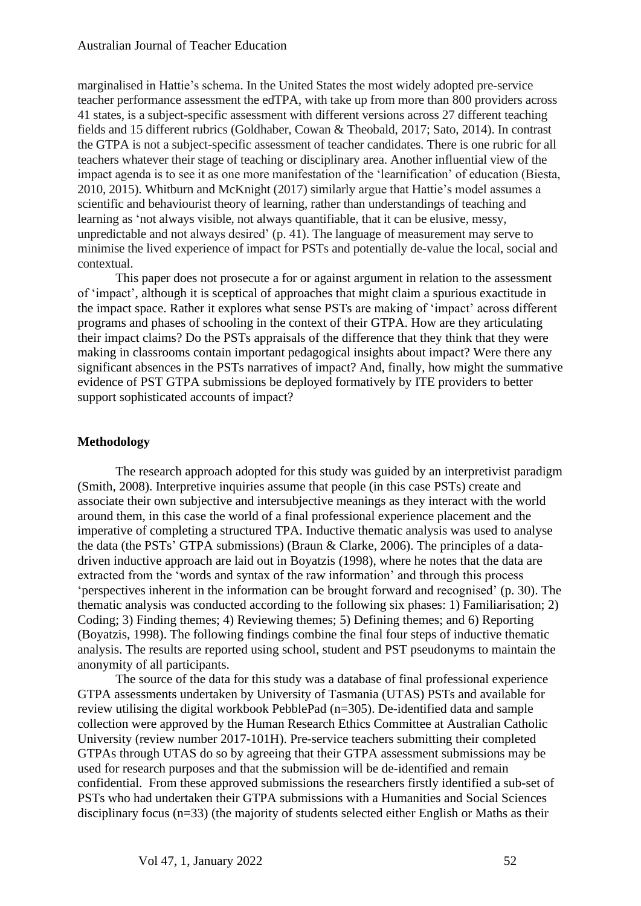marginalised in Hattie's schema. In the United States the most widely adopted pre-service teacher performance assessment the edTPA, with take up from more than 800 providers across 41 states, is a subject-specific assessment with different versions across 27 different teaching fields and 15 different rubrics (Goldhaber, Cowan & Theobald, 2017; Sato, 2014). In contrast the GTPA is not a subject-specific assessment of teacher candidates. There is one rubric for all teachers whatever their stage of teaching or disciplinary area. Another influential view of the impact agenda is to see it as one more manifestation of the 'learnification' of education (Biesta, 2010, 2015). Whitburn and McKnight (2017) similarly argue that Hattie's model assumes a scientific and behaviourist theory of learning, rather than understandings of teaching and learning as 'not always visible, not always quantifiable, that it can be elusive, messy, unpredictable and not always desired' (p. 41). The language of measurement may serve to minimise the lived experience of impact for PSTs and potentially de-value the local, social and contextual.

This paper does not prosecute a for or against argument in relation to the assessment of 'impact', although it is sceptical of approaches that might claim a spurious exactitude in the impact space. Rather it explores what sense PSTs are making of 'impact' across different programs and phases of schooling in the context of their GTPA. How are they articulating their impact claims? Do the PSTs appraisals of the difference that they think that they were making in classrooms contain important pedagogical insights about impact? Were there any significant absences in the PSTs narratives of impact? And, finally, how might the summative evidence of PST GTPA submissions be deployed formatively by ITE providers to better support sophisticated accounts of impact?

#### **Methodology**

The research approach adopted for this study was guided by an interpretivist paradigm (Smith, 2008). Interpretive inquiries assume that people (in this case PSTs) create and associate their own subjective and intersubjective meanings as they interact with the world around them, in this case the world of a final professional experience placement and the imperative of completing a structured TPA. Inductive thematic analysis was used to analyse the data (the PSTs' GTPA submissions) (Braun & Clarke, 2006). The principles of a datadriven inductive approach are laid out in Boyatzis (1998), where he notes that the data are extracted from the 'words and syntax of the raw information' and through this process 'perspectives inherent in the information can be brought forward and recognised' (p. 30). The thematic analysis was conducted according to the following six phases: 1) Familiarisation; 2) Coding; 3) Finding themes; 4) Reviewing themes; 5) Defining themes; and 6) Reporting (Boyatzis, 1998). The following findings combine the final four steps of inductive thematic analysis. The results are reported using school, student and PST pseudonyms to maintain the anonymity of all participants.

The source of the data for this study was a database of final professional experience GTPA assessments undertaken by University of Tasmania (UTAS) PSTs and available for review utilising the digital workbook PebblePad (n=305). De-identified data and sample collection were approved by the Human Research Ethics Committee at Australian Catholic University (review number 2017-101H). Pre-service teachers submitting their completed GTPAs through UTAS do so by agreeing that their GTPA assessment submissions may be used for research purposes and that the submission will be de-identified and remain confidential. From these approved submissions the researchers firstly identified a sub-set of PSTs who had undertaken their GTPA submissions with a Humanities and Social Sciences disciplinary focus (n=33) (the majority of students selected either English or Maths as their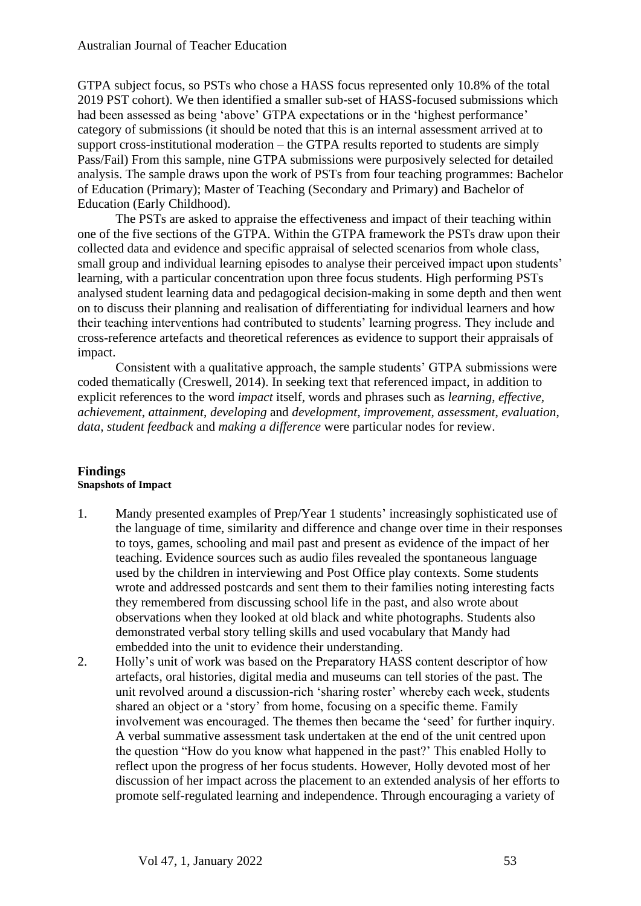GTPA subject focus, so PSTs who chose a HASS focus represented only 10.8% of the total 2019 PST cohort). We then identified a smaller sub-set of HASS-focused submissions which had been assessed as being 'above' GTPA expectations or in the 'highest performance' category of submissions (it should be noted that this is an internal assessment arrived at to support cross-institutional moderation – the GTPA results reported to students are simply Pass/Fail) From this sample, nine GTPA submissions were purposively selected for detailed analysis. The sample draws upon the work of PSTs from four teaching programmes: Bachelor of Education (Primary); Master of Teaching (Secondary and Primary) and Bachelor of Education (Early Childhood).

The PSTs are asked to appraise the effectiveness and impact of their teaching within one of the five sections of the GTPA. Within the GTPA framework the PSTs draw upon their collected data and evidence and specific appraisal of selected scenarios from whole class, small group and individual learning episodes to analyse their perceived impact upon students' learning, with a particular concentration upon three focus students. High performing PSTs analysed student learning data and pedagogical decision-making in some depth and then went on to discuss their planning and realisation of differentiating for individual learners and how their teaching interventions had contributed to students' learning progress. They include and cross-reference artefacts and theoretical references as evidence to support their appraisals of impact.

Consistent with a qualitative approach, the sample students' GTPA submissions were coded thematically (Creswell, 2014). In seeking text that referenced impact, in addition to explicit references to the word *impact* itself, words and phrases such as *learning*, *effective, achievement*, *attainment*, *developing* and *development*, *improvement, assessment*, *evaluation*, *data, student feedback* and *making a difference* were particular nodes for review.

#### **Findings Snapshots of Impact**

- 1. Mandy presented examples of Prep/Year 1 students' increasingly sophisticated use of the language of time, similarity and difference and change over time in their responses to toys, games, schooling and mail past and present as evidence of the impact of her teaching. Evidence sources such as audio files revealed the spontaneous language used by the children in interviewing and Post Office play contexts. Some students wrote and addressed postcards and sent them to their families noting interesting facts they remembered from discussing school life in the past, and also wrote about observations when they looked at old black and white photographs. Students also demonstrated verbal story telling skills and used vocabulary that Mandy had embedded into the unit to evidence their understanding.
- 2. Holly's unit of work was based on the Preparatory HASS content descriptor of how artefacts, oral histories, digital media and museums can tell stories of the past. The unit revolved around a discussion-rich 'sharing roster' whereby each week, students shared an object or a 'story' from home, focusing on a specific theme. Family involvement was encouraged. The themes then became the 'seed' for further inquiry. A verbal summative assessment task undertaken at the end of the unit centred upon the question "How do you know what happened in the past?' This enabled Holly to reflect upon the progress of her focus students. However, Holly devoted most of her discussion of her impact across the placement to an extended analysis of her efforts to promote self-regulated learning and independence. Through encouraging a variety of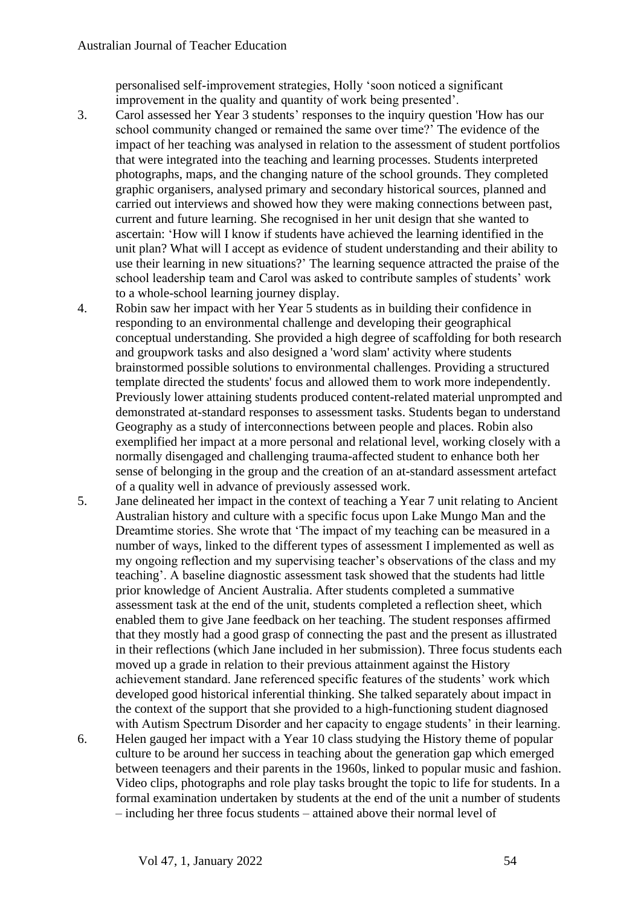personalised self-improvement strategies, Holly 'soon noticed a significant improvement in the quality and quantity of work being presented'.

- 3. Carol assessed her Year 3 students' responses to the inquiry question 'How has our school community changed or remained the same over time?' The evidence of the impact of her teaching was analysed in relation to the assessment of student portfolios that were integrated into the teaching and learning processes. Students interpreted photographs, maps, and the changing nature of the school grounds. They completed graphic organisers, analysed primary and secondary historical sources, planned and carried out interviews and showed how they were making connections between past, current and future learning. She recognised in her unit design that she wanted to ascertain: 'How will I know if students have achieved the learning identified in the unit plan? What will I accept as evidence of student understanding and their ability to use their learning in new situations?' The learning sequence attracted the praise of the school leadership team and Carol was asked to contribute samples of students' work to a whole-school learning journey display.
- 4. Robin saw her impact with her Year 5 students as in building their confidence in responding to an environmental challenge and developing their geographical conceptual understanding. She provided a high degree of scaffolding for both research and groupwork tasks and also designed a 'word slam' activity where students brainstormed possible solutions to environmental challenges. Providing a structured template directed the students' focus and allowed them to work more independently. Previously lower attaining students produced content-related material unprompted and demonstrated at-standard responses to assessment tasks. Students began to understand Geography as a study of interconnections between people and places. Robin also exemplified her impact at a more personal and relational level, working closely with a normally disengaged and challenging trauma-affected student to enhance both her sense of belonging in the group and the creation of an at-standard assessment artefact of a quality well in advance of previously assessed work.
- 5. Jane delineated her impact in the context of teaching a Year 7 unit relating to Ancient Australian history and culture with a specific focus upon Lake Mungo Man and the Dreamtime stories. She wrote that 'The impact of my teaching can be measured in a number of ways, linked to the different types of assessment I implemented as well as my ongoing reflection and my supervising teacher's observations of the class and my teaching'. A baseline diagnostic assessment task showed that the students had little prior knowledge of Ancient Australia. After students completed a summative assessment task at the end of the unit, students completed a reflection sheet, which enabled them to give Jane feedback on her teaching. The student responses affirmed that they mostly had a good grasp of connecting the past and the present as illustrated in their reflections (which Jane included in her submission). Three focus students each moved up a grade in relation to their previous attainment against the History achievement standard. Jane referenced specific features of the students' work which developed good historical inferential thinking. She talked separately about impact in the context of the support that she provided to a high-functioning student diagnosed with Autism Spectrum Disorder and her capacity to engage students' in their learning.
- 6. Helen gauged her impact with a Year 10 class studying the History theme of popular culture to be around her success in teaching about the generation gap which emerged between teenagers and their parents in the 1960s, linked to popular music and fashion. Video clips, photographs and role play tasks brought the topic to life for students. In a formal examination undertaken by students at the end of the unit a number of students – including her three focus students – attained above their normal level of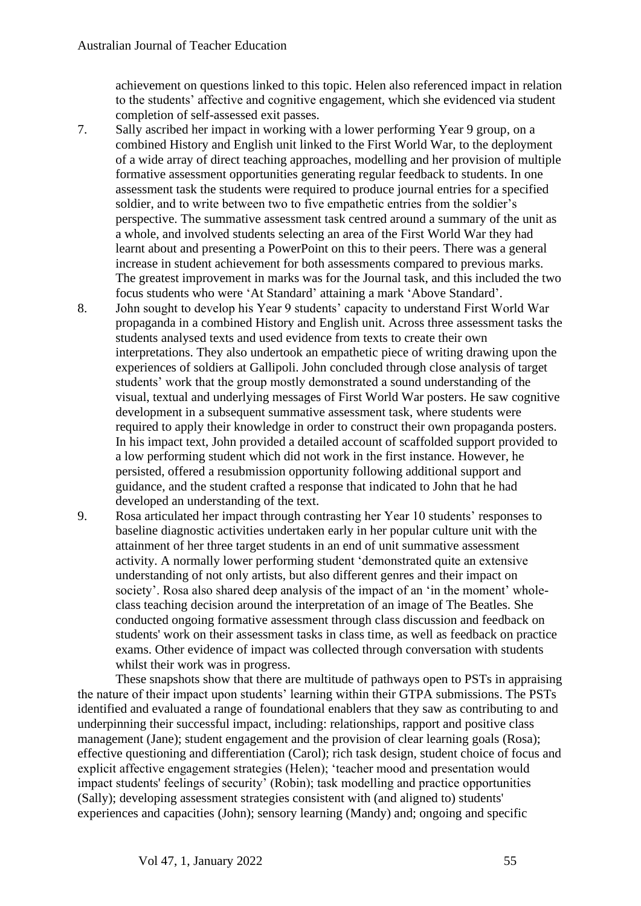achievement on questions linked to this topic. Helen also referenced impact in relation to the students' affective and cognitive engagement, which she evidenced via student completion of self-assessed exit passes.

- 7. Sally ascribed her impact in working with a lower performing Year 9 group, on a combined History and English unit linked to the First World War, to the deployment of a wide array of direct teaching approaches, modelling and her provision of multiple formative assessment opportunities generating regular feedback to students. In one assessment task the students were required to produce journal entries for a specified soldier, and to write between two to five empathetic entries from the soldier's perspective. The summative assessment task centred around a summary of the unit as a whole, and involved students selecting an area of the First World War they had learnt about and presenting a PowerPoint on this to their peers. There was a general increase in student achievement for both assessments compared to previous marks. The greatest improvement in marks was for the Journal task, and this included the two focus students who were 'At Standard' attaining a mark 'Above Standard'.
- 8. John sought to develop his Year 9 students' capacity to understand First World War propaganda in a combined History and English unit. Across three assessment tasks the students analysed texts and used evidence from texts to create their own interpretations. They also undertook an empathetic piece of writing drawing upon the experiences of soldiers at Gallipoli. John concluded through close analysis of target students' work that the group mostly demonstrated a sound understanding of the visual, textual and underlying messages of First World War posters. He saw cognitive development in a subsequent summative assessment task, where students were required to apply their knowledge in order to construct their own propaganda posters. In his impact text, John provided a detailed account of scaffolded support provided to a low performing student which did not work in the first instance. However, he persisted, offered a resubmission opportunity following additional support and guidance, and the student crafted a response that indicated to John that he had developed an understanding of the text.
- 9. Rosa articulated her impact through contrasting her Year 10 students' responses to baseline diagnostic activities undertaken early in her popular culture unit with the attainment of her three target students in an end of unit summative assessment activity. A normally lower performing student 'demonstrated quite an extensive understanding of not only artists, but also different genres and their impact on society'. Rosa also shared deep analysis of the impact of an 'in the moment' wholeclass teaching decision around the interpretation of an image of The Beatles. She conducted ongoing formative assessment through class discussion and feedback on students' work on their assessment tasks in class time, as well as feedback on practice exams. Other evidence of impact was collected through conversation with students whilst their work was in progress.

These snapshots show that there are multitude of pathways open to PSTs in appraising the nature of their impact upon students' learning within their GTPA submissions. The PSTs identified and evaluated a range of foundational enablers that they saw as contributing to and underpinning their successful impact, including: relationships, rapport and positive class management (Jane); student engagement and the provision of clear learning goals (Rosa); effective questioning and differentiation (Carol); rich task design, student choice of focus and explicit affective engagement strategies (Helen); 'teacher mood and presentation would impact students' feelings of security' (Robin); task modelling and practice opportunities (Sally); developing assessment strategies consistent with (and aligned to) students' experiences and capacities (John); sensory learning (Mandy) and; ongoing and specific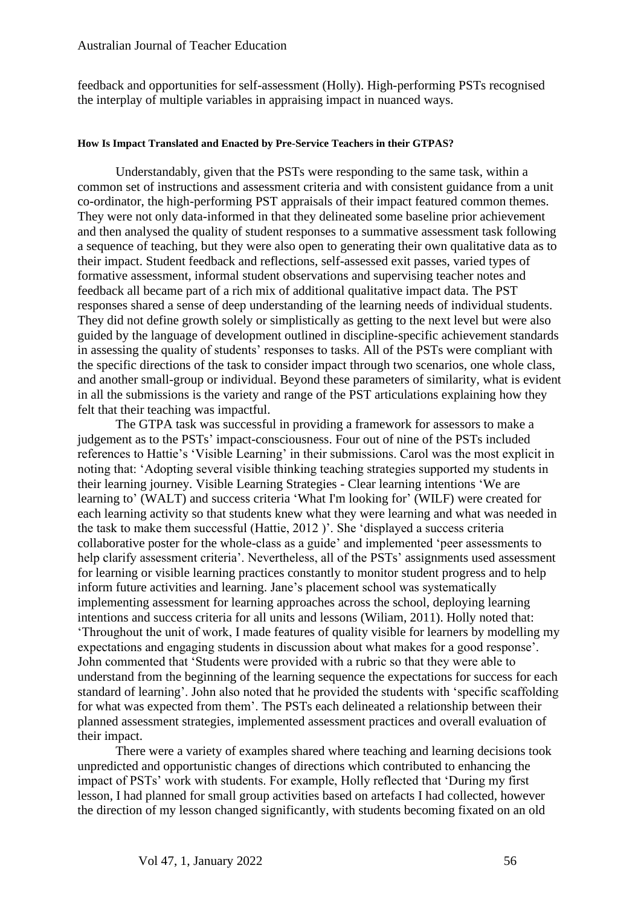feedback and opportunities for self-assessment (Holly). High-performing PSTs recognised the interplay of multiple variables in appraising impact in nuanced ways.

#### **How Is Impact Translated and Enacted by Pre-Service Teachers in their GTPAS?**

Understandably, given that the PSTs were responding to the same task, within a common set of instructions and assessment criteria and with consistent guidance from a unit co-ordinator, the high-performing PST appraisals of their impact featured common themes. They were not only data-informed in that they delineated some baseline prior achievement and then analysed the quality of student responses to a summative assessment task following a sequence of teaching, but they were also open to generating their own qualitative data as to their impact. Student feedback and reflections, self-assessed exit passes, varied types of formative assessment, informal student observations and supervising teacher notes and feedback all became part of a rich mix of additional qualitative impact data. The PST responses shared a sense of deep understanding of the learning needs of individual students. They did not define growth solely or simplistically as getting to the next level but were also guided by the language of development outlined in discipline-specific achievement standards in assessing the quality of students' responses to tasks. All of the PSTs were compliant with the specific directions of the task to consider impact through two scenarios, one whole class, and another small-group or individual. Beyond these parameters of similarity, what is evident in all the submissions is the variety and range of the PST articulations explaining how they felt that their teaching was impactful.

The GTPA task was successful in providing a framework for assessors to make a judgement as to the PSTs' impact-consciousness. Four out of nine of the PSTs included references to Hattie's 'Visible Learning' in their submissions. Carol was the most explicit in noting that: 'Adopting several visible thinking teaching strategies supported my students in their learning journey. Visible Learning Strategies - Clear learning intentions 'We are learning to' (WALT) and success criteria 'What I'm looking for' (WILF) were created for each learning activity so that students knew what they were learning and what was needed in the task to make them successful (Hattie, 2012 )'. She 'displayed a success criteria collaborative poster for the whole-class as a guide' and implemented 'peer assessments to help clarify assessment criteria'. Nevertheless, all of the PSTs' assignments used assessment for learning or visible learning practices constantly to monitor student progress and to help inform future activities and learning. Jane's placement school was systematically implementing assessment for learning approaches across the school, deploying learning intentions and success criteria for all units and lessons (Wiliam, 2011). Holly noted that: 'Throughout the unit of work, I made features of quality visible for learners by modelling my expectations and engaging students in discussion about what makes for a good response'. John commented that 'Students were provided with a rubric so that they were able to understand from the beginning of the learning sequence the expectations for success for each standard of learning'. John also noted that he provided the students with 'specific scaffolding for what was expected from them'. The PSTs each delineated a relationship between their planned assessment strategies, implemented assessment practices and overall evaluation of their impact.

There were a variety of examples shared where teaching and learning decisions took unpredicted and opportunistic changes of directions which contributed to enhancing the impact of PSTs' work with students. For example, Holly reflected that 'During my first lesson, I had planned for small group activities based on artefacts I had collected, however the direction of my lesson changed significantly, with students becoming fixated on an old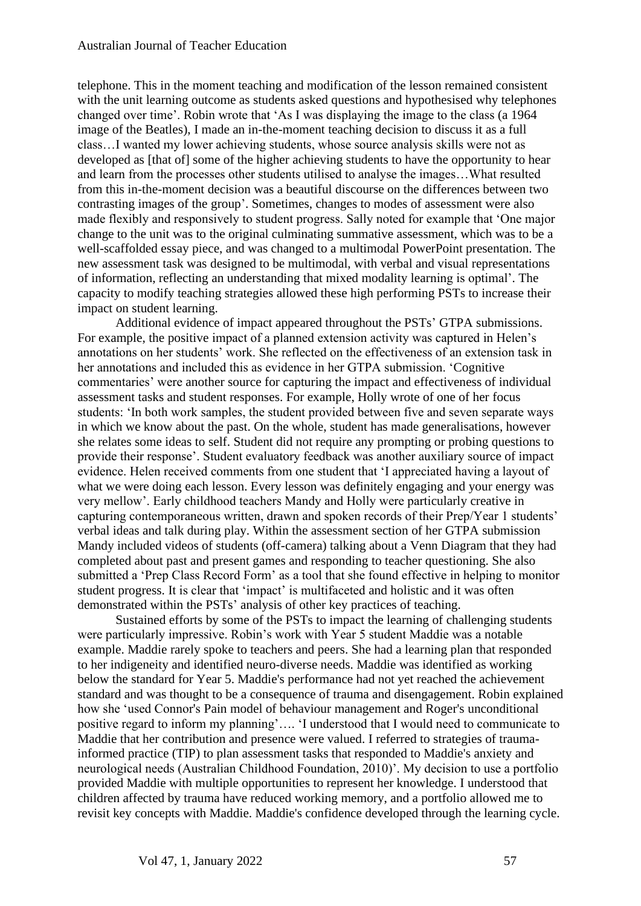telephone. This in the moment teaching and modification of the lesson remained consistent with the unit learning outcome as students asked questions and hypothesised why telephones changed over time'. Robin wrote that 'As I was displaying the image to the class (a 1964 image of the Beatles), I made an in-the-moment teaching decision to discuss it as a full class…I wanted my lower achieving students, whose source analysis skills were not as developed as [that of] some of the higher achieving students to have the opportunity to hear and learn from the processes other students utilised to analyse the images…What resulted from this in-the-moment decision was a beautiful discourse on the differences between two contrasting images of the group'. Sometimes, changes to modes of assessment were also made flexibly and responsively to student progress. Sally noted for example that 'One major change to the unit was to the original culminating summative assessment, which was to be a well-scaffolded essay piece, and was changed to a multimodal PowerPoint presentation. The new assessment task was designed to be multimodal, with verbal and visual representations of information, reflecting an understanding that mixed modality learning is optimal'. The capacity to modify teaching strategies allowed these high performing PSTs to increase their impact on student learning.

Additional evidence of impact appeared throughout the PSTs' GTPA submissions. For example, the positive impact of a planned extension activity was captured in Helen's annotations on her students' work. She reflected on the effectiveness of an extension task in her annotations and included this as evidence in her GTPA submission. 'Cognitive commentaries' were another source for capturing the impact and effectiveness of individual assessment tasks and student responses. For example, Holly wrote of one of her focus students: 'In both work samples, the student provided between five and seven separate ways in which we know about the past. On the whole, student has made generalisations, however she relates some ideas to self. Student did not require any prompting or probing questions to provide their response'. Student evaluatory feedback was another auxiliary source of impact evidence. Helen received comments from one student that 'I appreciated having a layout of what we were doing each lesson. Every lesson was definitely engaging and your energy was very mellow'. Early childhood teachers Mandy and Holly were particularly creative in capturing contemporaneous written, drawn and spoken records of their Prep/Year 1 students' verbal ideas and talk during play. Within the assessment section of her GTPA submission Mandy included videos of students (off-camera) talking about a Venn Diagram that they had completed about past and present games and responding to teacher questioning. She also submitted a 'Prep Class Record Form' as a tool that she found effective in helping to monitor student progress. It is clear that 'impact' is multifaceted and holistic and it was often demonstrated within the PSTs' analysis of other key practices of teaching.

Sustained efforts by some of the PSTs to impact the learning of challenging students were particularly impressive. Robin's work with Year 5 student Maddie was a notable example. Maddie rarely spoke to teachers and peers. She had a learning plan that responded to her indigeneity and identified neuro-diverse needs. Maddie was identified as working below the standard for Year 5. Maddie's performance had not yet reached the achievement standard and was thought to be a consequence of trauma and disengagement. Robin explained how she 'used Connor's Pain model of behaviour management and Roger's unconditional positive regard to inform my planning'…. 'I understood that I would need to communicate to Maddie that her contribution and presence were valued. I referred to strategies of traumainformed practice (TIP) to plan assessment tasks that responded to Maddie's anxiety and neurological needs (Australian Childhood Foundation, 2010)'. My decision to use a portfolio provided Maddie with multiple opportunities to represent her knowledge. I understood that children affected by trauma have reduced working memory, and a portfolio allowed me to revisit key concepts with Maddie. Maddie's confidence developed through the learning cycle.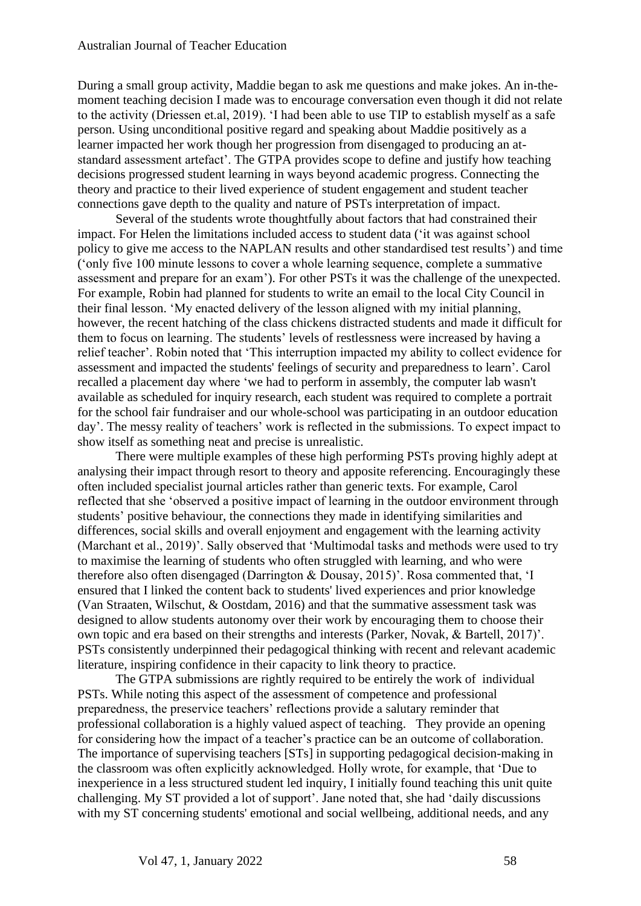During a small group activity, Maddie began to ask me questions and make jokes. An in-themoment teaching decision I made was to encourage conversation even though it did not relate to the activity (Driessen et.al, 2019). 'I had been able to use TIP to establish myself as a safe person. Using unconditional positive regard and speaking about Maddie positively as a learner impacted her work though her progression from disengaged to producing an atstandard assessment artefact'. The GTPA provides scope to define and justify how teaching decisions progressed student learning in ways beyond academic progress. Connecting the theory and practice to their lived experience of student engagement and student teacher connections gave depth to the quality and nature of PSTs interpretation of impact.

Several of the students wrote thoughtfully about factors that had constrained their impact. For Helen the limitations included access to student data ('it was against school policy to give me access to the NAPLAN results and other standardised test results') and time ('only five 100 minute lessons to cover a whole learning sequence, complete a summative assessment and prepare for an exam'). For other PSTs it was the challenge of the unexpected. For example, Robin had planned for students to write an email to the local City Council in their final lesson. 'My enacted delivery of the lesson aligned with my initial planning, however, the recent hatching of the class chickens distracted students and made it difficult for them to focus on learning. The students' levels of restlessness were increased by having a relief teacher'. Robin noted that 'This interruption impacted my ability to collect evidence for assessment and impacted the students' feelings of security and preparedness to learn'. Carol recalled a placement day where 'we had to perform in assembly, the computer lab wasn't available as scheduled for inquiry research, each student was required to complete a portrait for the school fair fundraiser and our whole-school was participating in an outdoor education day'. The messy reality of teachers' work is reflected in the submissions. To expect impact to show itself as something neat and precise is unrealistic.

There were multiple examples of these high performing PSTs proving highly adept at analysing their impact through resort to theory and apposite referencing. Encouragingly these often included specialist journal articles rather than generic texts. For example, Carol reflected that she 'observed a positive impact of learning in the outdoor environment through students' positive behaviour, the connections they made in identifying similarities and differences, social skills and overall enjoyment and engagement with the learning activity (Marchant et al., 2019)'. Sally observed that 'Multimodal tasks and methods were used to try to maximise the learning of students who often struggled with learning, and who were therefore also often disengaged (Darrington & Dousay, 2015)'. Rosa commented that, 'I ensured that I linked the content back to students' lived experiences and prior knowledge (Van Straaten, Wilschut, & Oostdam, 2016) and that the summative assessment task was designed to allow students autonomy over their work by encouraging them to choose their own topic and era based on their strengths and interests (Parker, Novak, & Bartell, 2017)'. PSTs consistently underpinned their pedagogical thinking with recent and relevant academic literature, inspiring confidence in their capacity to link theory to practice.

The GTPA submissions are rightly required to be entirely the work of individual PSTs. While noting this aspect of the assessment of competence and professional preparedness, the preservice teachers' reflections provide a salutary reminder that professional collaboration is a highly valued aspect of teaching. They provide an opening for considering how the impact of a teacher's practice can be an outcome of collaboration. The importance of supervising teachers [STs] in supporting pedagogical decision-making in the classroom was often explicitly acknowledged. Holly wrote, for example, that 'Due to inexperience in a less structured student led inquiry, I initially found teaching this unit quite challenging. My ST provided a lot of support'. Jane noted that, she had 'daily discussions with my ST concerning students' emotional and social wellbeing, additional needs, and any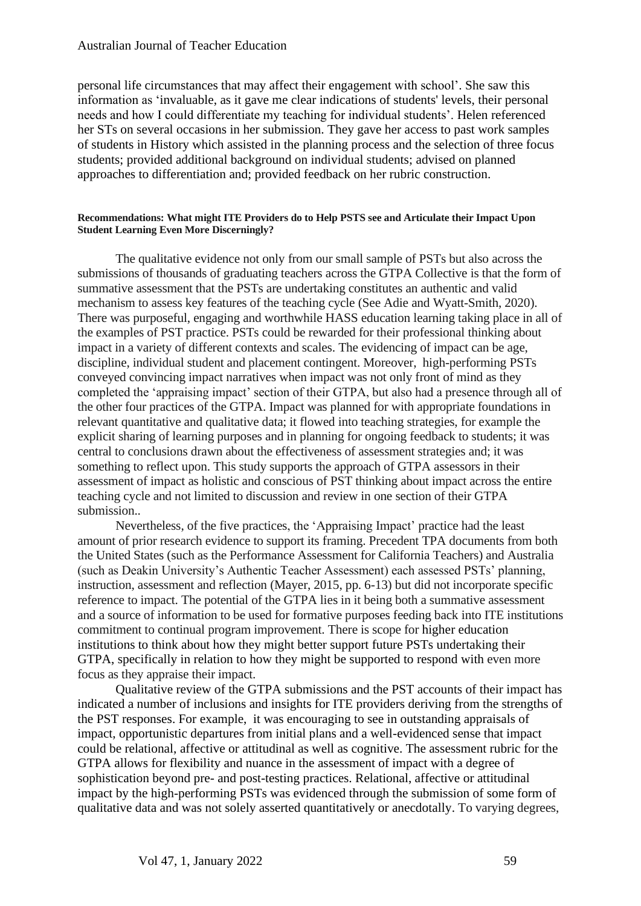#### Australian Journal of Teacher Education

personal life circumstances that may affect their engagement with school'. She saw this information as 'invaluable, as it gave me clear indications of students' levels, their personal needs and how I could differentiate my teaching for individual students'. Helen referenced her STs on several occasions in her submission. They gave her access to past work samples of students in History which assisted in the planning process and the selection of three focus students; provided additional background on individual students; advised on planned approaches to differentiation and; provided feedback on her rubric construction.

#### **Recommendations: What might ITE Providers do to Help PSTS see and Articulate their Impact Upon Student Learning Even More Discerningly?**

The qualitative evidence not only from our small sample of PSTs but also across the submissions of thousands of graduating teachers across the GTPA Collective is that the form of summative assessment that the PSTs are undertaking constitutes an authentic and valid mechanism to assess key features of the teaching cycle (See Adie and Wyatt-Smith, 2020). There was purposeful, engaging and worthwhile HASS education learning taking place in all of the examples of PST practice. PSTs could be rewarded for their professional thinking about impact in a variety of different contexts and scales. The evidencing of impact can be age, discipline, individual student and placement contingent. Moreover, high-performing PSTs conveyed convincing impact narratives when impact was not only front of mind as they completed the 'appraising impact' section of their GTPA, but also had a presence through all of the other four practices of the GTPA. Impact was planned for with appropriate foundations in relevant quantitative and qualitative data; it flowed into teaching strategies, for example the explicit sharing of learning purposes and in planning for ongoing feedback to students; it was central to conclusions drawn about the effectiveness of assessment strategies and; it was something to reflect upon. This study supports the approach of GTPA assessors in their assessment of impact as holistic and conscious of PST thinking about impact across the entire teaching cycle and not limited to discussion and review in one section of their GTPA submission..

Nevertheless, of the five practices, the 'Appraising Impact' practice had the least amount of prior research evidence to support its framing. Precedent TPA documents from both the United States (such as the Performance Assessment for California Teachers) and Australia (such as Deakin University's Authentic Teacher Assessment) each assessed PSTs' planning, instruction, assessment and reflection (Mayer, 2015, pp. 6-13) but did not incorporate specific reference to impact. The potential of the GTPA lies in it being both a summative assessment and a source of information to be used for formative purposes feeding back into ITE institutions commitment to continual program improvement. There is scope for higher education institutions to think about how they might better support future PSTs undertaking their GTPA, specifically in relation to how they might be supported to respond with even more focus as they appraise their impact.

Qualitative review of the GTPA submissions and the PST accounts of their impact has indicated a number of inclusions and insights for ITE providers deriving from the strengths of the PST responses. For example, it was encouraging to see in outstanding appraisals of impact, opportunistic departures from initial plans and a well-evidenced sense that impact could be relational, affective or attitudinal as well as cognitive. The assessment rubric for the GTPA allows for flexibility and nuance in the assessment of impact with a degree of sophistication beyond pre- and post-testing practices. Relational, affective or attitudinal impact by the high-performing PSTs was evidenced through the submission of some form of qualitative data and was not solely asserted quantitatively or anecdotally. To varying degrees,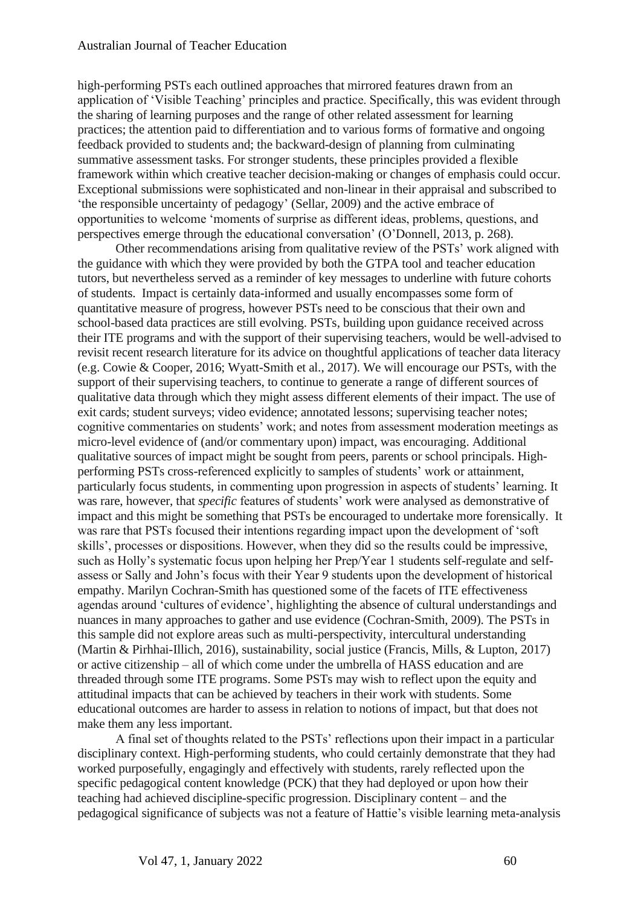high-performing PSTs each outlined approaches that mirrored features drawn from an application of 'Visible Teaching' principles and practice. Specifically, this was evident through the sharing of learning purposes and the range of other related assessment for learning practices; the attention paid to differentiation and to various forms of formative and ongoing feedback provided to students and; the backward-design of planning from culminating summative assessment tasks. For stronger students, these principles provided a flexible framework within which creative teacher decision-making or changes of emphasis could occur. Exceptional submissions were sophisticated and non-linear in their appraisal and subscribed to 'the responsible uncertainty of pedagogy' (Sellar, 2009) and the active embrace of opportunities to welcome 'moments of surprise as different ideas, problems, questions, and perspectives emerge through the educational conversation' (O'Donnell, 2013, p. 268).

Other recommendations arising from qualitative review of the PSTs' work aligned with the guidance with which they were provided by both the GTPA tool and teacher education tutors, but nevertheless served as a reminder of key messages to underline with future cohorts of students. Impact is certainly data-informed and usually encompasses some form of quantitative measure of progress, however PSTs need to be conscious that their own and school-based data practices are still evolving. PSTs, building upon guidance received across their ITE programs and with the support of their supervising teachers, would be well-advised to revisit recent research literature for its advice on thoughtful applications of teacher data literacy (e.g. Cowie & Cooper, 2016; Wyatt-Smith et al., 2017). We will encourage our PSTs, with the support of their supervising teachers, to continue to generate a range of different sources of qualitative data through which they might assess different elements of their impact. The use of exit cards; student surveys; video evidence; annotated lessons; supervising teacher notes; cognitive commentaries on students' work; and notes from assessment moderation meetings as micro-level evidence of (and/or commentary upon) impact, was encouraging. Additional qualitative sources of impact might be sought from peers, parents or school principals. Highperforming PSTs cross-referenced explicitly to samples of students' work or attainment, particularly focus students, in commenting upon progression in aspects of students' learning. It was rare, however, that *specific* features of students' work were analysed as demonstrative of impact and this might be something that PSTs be encouraged to undertake more forensically. It was rare that PSTs focused their intentions regarding impact upon the development of 'soft skills', processes or dispositions. However, when they did so the results could be impressive, such as Holly's systematic focus upon helping her Prep/Year 1 students self-regulate and selfassess or Sally and John's focus with their Year 9 students upon the development of historical empathy. Marilyn Cochran-Smith has questioned some of the facets of ITE effectiveness agendas around 'cultures of evidence', highlighting the absence of cultural understandings and nuances in many approaches to gather and use evidence (Cochran-Smith, 2009). The PSTs in this sample did not explore areas such as multi-perspectivity, intercultural understanding (Martin & Pirhhai-Illich, 2016), sustainability, social justice (Francis, Mills, & Lupton, 2017) or active citizenship – all of which come under the umbrella of HASS education and are threaded through some ITE programs. Some PSTs may wish to reflect upon the equity and attitudinal impacts that can be achieved by teachers in their work with students. Some educational outcomes are harder to assess in relation to notions of impact, but that does not make them any less important.

A final set of thoughts related to the PSTs' reflections upon their impact in a particular disciplinary context. High-performing students, who could certainly demonstrate that they had worked purposefully, engagingly and effectively with students, rarely reflected upon the specific pedagogical content knowledge (PCK) that they had deployed or upon how their teaching had achieved discipline-specific progression. Disciplinary content – and the pedagogical significance of subjects was not a feature of Hattie's visible learning meta-analysis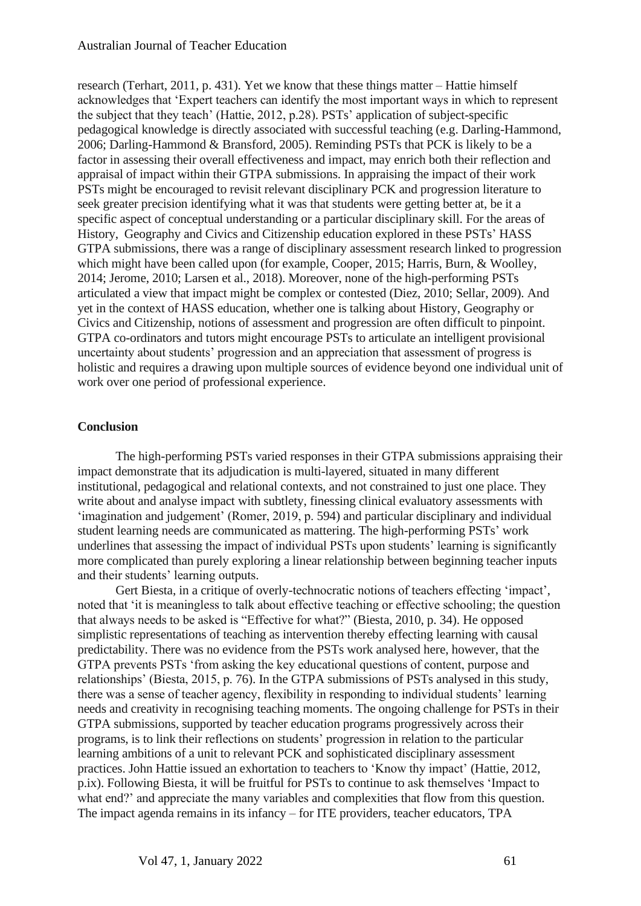research (Terhart, 2011, p. 431). Yet we know that these things matter – Hattie himself acknowledges that 'Expert teachers can identify the most important ways in which to represent the subject that they teach' (Hattie, 2012, p.28). PSTs' application of subject-specific pedagogical knowledge is directly associated with successful teaching (e.g. Darling-Hammond, 2006; Darling-Hammond & Bransford, 2005). Reminding PSTs that PCK is likely to be a factor in assessing their overall effectiveness and impact, may enrich both their reflection and appraisal of impact within their GTPA submissions. In appraising the impact of their work PSTs might be encouraged to revisit relevant disciplinary PCK and progression literature to seek greater precision identifying what it was that students were getting better at, be it a specific aspect of conceptual understanding or a particular disciplinary skill. For the areas of History, Geography and Civics and Citizenship education explored in these PSTs' HASS GTPA submissions, there was a range of disciplinary assessment research linked to progression which might have been called upon (for example, Cooper, 2015; Harris, Burn, & Woolley, 2014; Jerome, 2010; Larsen et al., 2018). Moreover, none of the high-performing PSTs articulated a view that impact might be complex or contested (Diez, 2010; Sellar, 2009). And yet in the context of HASS education, whether one is talking about History, Geography or Civics and Citizenship, notions of assessment and progression are often difficult to pinpoint. GTPA co-ordinators and tutors might encourage PSTs to articulate an intelligent provisional uncertainty about students' progression and an appreciation that assessment of progress is holistic and requires a drawing upon multiple sources of evidence beyond one individual unit of work over one period of professional experience.

#### **Conclusion**

The high-performing PSTs varied responses in their GTPA submissions appraising their impact demonstrate that its adjudication is multi-layered, situated in many different institutional, pedagogical and relational contexts, and not constrained to just one place. They write about and analyse impact with subtlety, finessing clinical evaluatory assessments with 'imagination and judgement' (Romer, 2019, p. 594) and particular disciplinary and individual student learning needs are communicated as mattering. The high-performing PSTs' work underlines that assessing the impact of individual PSTs upon students' learning is significantly more complicated than purely exploring a linear relationship between beginning teacher inputs and their students' learning outputs.

Gert Biesta, in a critique of overly-technocratic notions of teachers effecting 'impact', noted that 'it is meaningless to talk about effective teaching or effective schooling; the question that always needs to be asked is "Effective for what?" (Biesta, 2010, p. 34). He opposed simplistic representations of teaching as intervention thereby effecting learning with causal predictability. There was no evidence from the PSTs work analysed here, however, that the GTPA prevents PSTs 'from asking the key educational questions of content, purpose and relationships' (Biesta, 2015, p. 76). In the GTPA submissions of PSTs analysed in this study, there was a sense of teacher agency, flexibility in responding to individual students' learning needs and creativity in recognising teaching moments. The ongoing challenge for PSTs in their GTPA submissions, supported by teacher education programs progressively across their programs, is to link their reflections on students' progression in relation to the particular learning ambitions of a unit to relevant PCK and sophisticated disciplinary assessment practices. John Hattie issued an exhortation to teachers to 'Know thy impact' (Hattie, 2012, p.ix). Following Biesta, it will be fruitful for PSTs to continue to ask themselves 'Impact to what end?' and appreciate the many variables and complexities that flow from this question. The impact agenda remains in its infancy – for ITE providers, teacher educators, TPA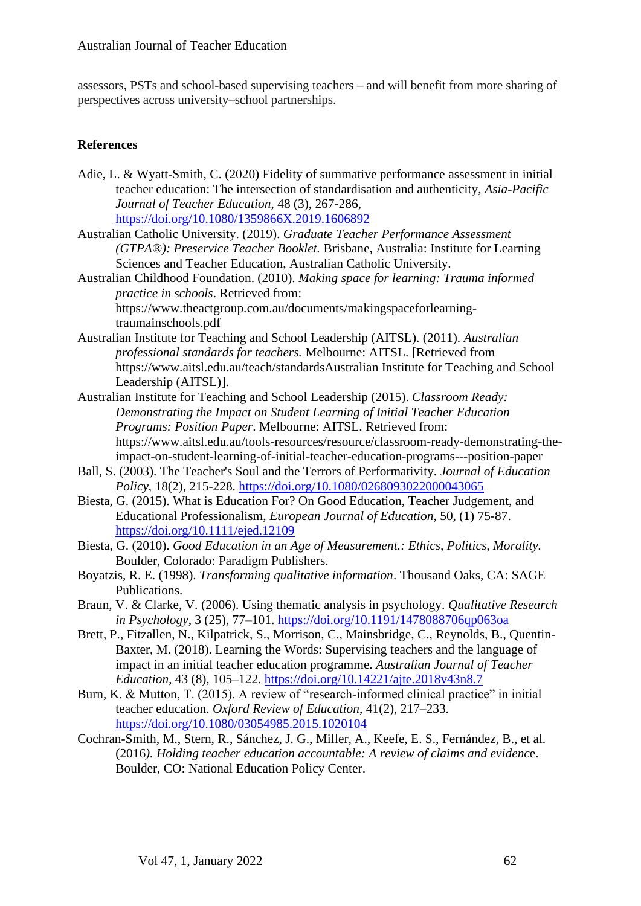assessors, PSTs and school-based supervising teachers – and will benefit from more sharing of perspectives across university–school partnerships.

#### **References**

- Adie, L. & Wyatt-Smith, C. (2020) Fidelity of summative performance assessment in initial teacher education: The intersection of standardisation and authenticity, *Asia-Pacific Journal of Teacher Education*, 48 (3), 267-286, <https://doi.org/10.1080/1359866X.2019.1606892>
- Australian Catholic University. (2019). *Graduate Teacher Performance Assessment (GTPA®): Preservice Teacher Booklet.* Brisbane, Australia: Institute for Learning Sciences and Teacher Education, Australian Catholic University.

Australian Childhood Foundation. (2010). *Making space for learning: Trauma informed practice in schools*. Retrieved from: https://www.theactgroup.com.au/documents/makingspaceforlearning-

traumainschools.pdf

- Australian Institute for Teaching and School Leadership (AITSL). (2011). *Australian professional standards for teachers.* Melbourne: AITSL. [Retrieved from https://www.aitsl.edu.au/teach/standardsAustralian Institute for Teaching and School Leadership (AITSL)].
- Australian Institute for Teaching and School Leadership (2015). *Classroom Ready: Demonstrating the Impact on Student Learning of Initial Teacher Education Programs: Position Paper*. Melbourne: AITSL. Retrieved from: https://www.aitsl.edu.au/tools-resources/resource/classroom-ready-demonstrating-theimpact-on-student-learning-of-initial-teacher-education-programs---position-paper
- Ball, S. (2003). The Teacher's Soul and the Terrors of Performativity. *Journal of Education Policy*, 18(2), 215-228. <https://doi.org/10.1080/0268093022000043065>
- Biesta, G. (2015). What is Education For? On Good Education, Teacher Judgement, and Educational Professionalism, *European Journal of Education*, 50, (1) 75-87. <https://doi.org/10.1111/ejed.12109>
- Biesta, G. (2010). *Good Education in an Age of Measurement.: Ethics, Politics, Morality.* Boulder, Colorado: Paradigm Publishers.
- Boyatzis, R. E. (1998). *Transforming qualitative information*. Thousand Oaks, CA: SAGE Publications.
- Braun, V. & Clarke, V. (2006). Using thematic analysis in psychology. *Qualitative Research in Psychology*, 3 (25), 77–101.<https://doi.org/10.1191/1478088706qp063oa>
- Brett, P., Fitzallen, N., Kilpatrick, S., Morrison, C., Mainsbridge, C., Reynolds, B., Quentin-Baxter, M. (2018). Learning the Words: Supervising teachers and the language of impact in an initial teacher education programme. *Australian Journal of Teacher Education*, 43 (8), 105–122.<https://doi.org/10.14221/ajte.2018v43n8.7>
- Burn, K. & Mutton, T. (2015). A review of "research-informed clinical practice" in initial teacher education. *Oxford Review of Education*, 41(2), 217–233. <https://doi.org/10.1080/03054985.2015.1020104>
- Cochran-Smith, M., Stern, R., Sánchez, J. G., Miller, A., Keefe, E. S., Fernández, B., et al. (2016*). Holding teacher education accountable: A review of claims and evidenc*e. Boulder, CO: National Education Policy Center.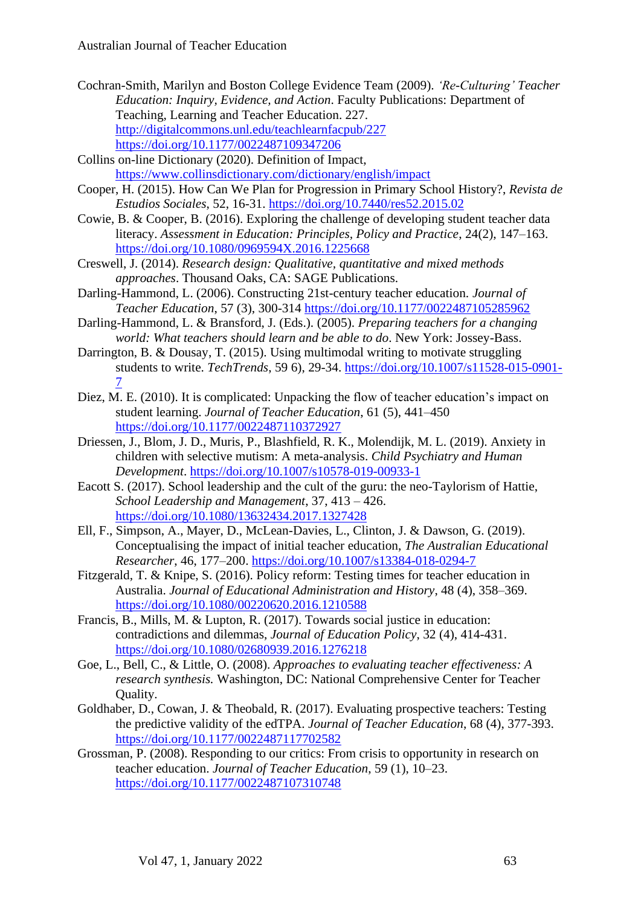- Cochran-Smith, Marilyn and Boston College Evidence Team (2009). *'Re-Culturing' Teacher Education: Inquiry, Evidence, and Action*. Faculty Publications: Department of Teaching, Learning and Teacher Education. 227. <http://digitalcommons.unl.edu/teachlearnfacpub/227> <https://doi.org/10.1177/0022487109347206>
- Collins on-line Dictionary (2020). Definition of Impact, https://www.collinsdictionary.com/dictionary/english/impact
- Cooper, H. (2015). How Can We Plan for Progression in Primary School History?, *Revista de Estudios Sociales*, 52, 16-31. <https://doi.org/10.7440/res52.2015.02>
- Cowie, B. & Cooper, B. (2016). Exploring the challenge of developing student teacher data literacy. *Assessment in Education: Principles, Policy and Practice*, 24(2), 147–163. <https://doi.org/10.1080/0969594X.2016.1225668>
- Creswell, J. (2014). *Research design: Qualitative, quantitative and mixed methods approaches*. Thousand Oaks, CA: SAGE Publications.
- Darling-Hammond, L. (2006). Constructing 21st-century teacher education. *Journal of Teacher Education*, 57 (3), 300-314 <https://doi.org/10.1177/0022487105285962>
- Darling-Hammond, L. & Bransford, J. (Eds.). (2005). *Preparing teachers for a changing world: What teachers should learn and be able to do*. New York: Jossey-Bass.
- Darrington, B. & Dousay, T. (2015). Using multimodal writing to motivate struggling students to write. *TechTrends*, 59 6), 29-34. [https://doi.org/10.1007/s11528-015-0901-](https://doi.org/10.1007/s11528-015-0901-7) [7](https://doi.org/10.1007/s11528-015-0901-7)
- Diez, M. E. (2010). It is complicated: Unpacking the flow of teacher education's impact on student learning. *Journal of Teacher Education*, 61 (5), 441–450 <https://doi.org/10.1177/0022487110372927>
- Driessen, J., Blom, J. D., Muris, P., Blashfield, R. K., Molendijk, M. L. (2019). Anxiety in children with selective mutism: A meta-analysis. *Child Psychiatry and Human Development*.<https://doi.org/10.1007/s10578-019-00933-1>
- Eacott S. (2017). School leadership and the cult of the guru: the neo-Taylorism of Hattie, *School Leadership and Management*, 37, 413 – 426. <https://doi.org/10.1080/13632434.2017.1327428>
- Ell, F., Simpson, A., Mayer, D., McLean-Davies, L., Clinton, J. & Dawson, G. (2019). Conceptualising the impact of initial teacher education, *The Australian Educational Researcher*, 46, 177–200. <https://doi.org/10.1007/s13384-018-0294-7>
- Fitzgerald, T. & Knipe, S. (2016). Policy reform: Testing times for teacher education in Australia. *Journal of Educational Administration and History*, 48 (4), 358–369. <https://doi.org/10.1080/00220620.2016.1210588>
- Francis, B., Mills, M. & Lupton, R. (2017). Towards social justice in education: contradictions and dilemmas, *Journal of Education Policy*, 32 (4), 414-431. <https://doi.org/10.1080/02680939.2016.1276218>
- Goe, L., Bell, C., & Little, O. (2008). *Approaches to evaluating teacher effectiveness: A research synthesis.* Washington, DC: National Comprehensive Center for Teacher Quality.
- Goldhaber, D., Cowan, J. & Theobald, R. (2017). Evaluating prospective teachers: Testing the predictive validity of the edTPA. *Journal of Teacher Education*, 68 (4), 377-393. <https://doi.org/10.1177/0022487117702582>
- Grossman, P. (2008). Responding to our critics: From crisis to opportunity in research on teacher education. *Journal of Teacher Education*, 59 (1), 10–23. <https://doi.org/10.1177/0022487107310748>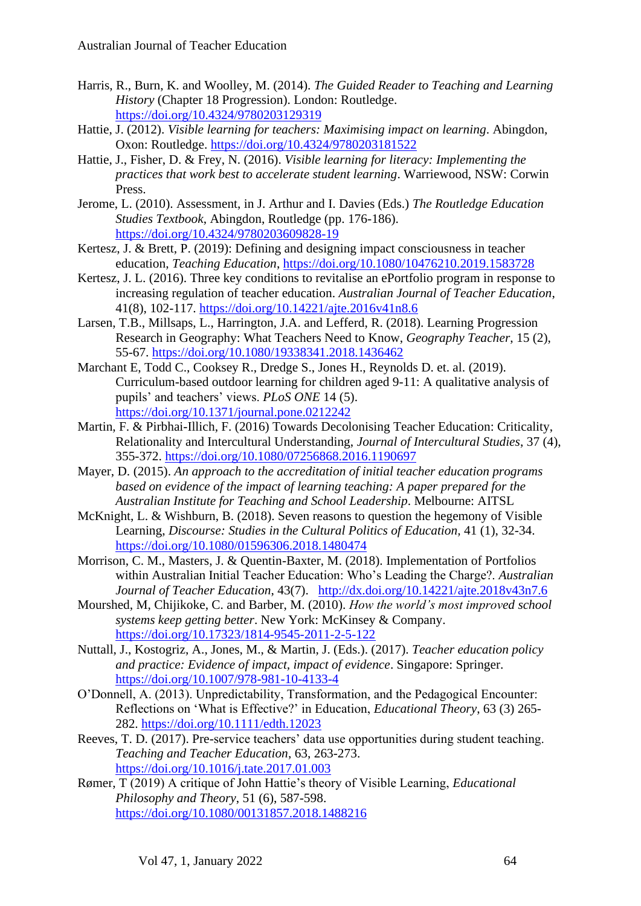- Harris, R., Burn, K. and Woolley, M. (2014). *The Guided Reader to Teaching and Learning History* (Chapter 18 Progression). London: Routledge. <https://doi.org/10.4324/9780203129319>
- Hattie, J. (2012). *Visible learning for teachers: Maximising impact on learning*. Abingdon, Oxon: Routledge. <https://doi.org/10.4324/9780203181522>
- Hattie, J., Fisher, D. & Frey, N. (2016). *Visible learning for literacy: Implementing the practices that work best to accelerate student learning*. Warriewood, NSW: Corwin Press.
- Jerome, L. (2010). Assessment, in J. Arthur and I. Davies (Eds.) *The Routledge Education Studies Textbook*, Abingdon, Routledge (pp. 176-186). <https://doi.org/10.4324/9780203609828-19>
- Kertesz, J. & Brett, P. (2019): Defining and designing impact consciousness in teacher education, *Teaching Education*,<https://doi.org/10.1080/10476210.2019.1583728>
- Kertesz, J. L. (2016). Three key conditions to revitalise an ePortfolio program in response to increasing regulation of teacher education. *Australian Journal of Teacher Education*, 41(8), 102-117.<https://doi.org/10.14221/ajte.2016v41n8.6>
- Larsen, T.B., Millsaps, L., Harrington, J.A. and Lefferd, R. (2018). Learning Progression Research in Geography: What Teachers Need to Know, *Geography Teacher*, 15 (2), 55-67. <https://doi.org/10.1080/19338341.2018.1436462>
- Marchant E, Todd C., Cooksey R., Dredge S., Jones H., Reynolds D. et. al. (2019). Curriculum-based outdoor learning for children aged 9-11: A qualitative analysis of pupils' and teachers' views. *PLoS ONE* 14 (5). <https://doi.org/10.1371/journal.pone.0212242>
- Martin, F. & Pirbhai-Illich, F. (2016) Towards Decolonising Teacher Education: Criticality, Relationality and Intercultural Understanding, *Journal of Intercultural Studies*, 37 (4), 355-372. <https://doi.org/10.1080/07256868.2016.1190697>
- Mayer, D. (2015). *An approach to the accreditation of initial teacher education programs based on evidence of the impact of learning teaching: A paper prepared for the Australian Institute for Teaching and School Leadership*. Melbourne: AITSL
- McKnight, L. & Wishburn, B. (2018). Seven reasons to question the hegemony of Visible Learning, *Discourse: Studies in the Cultural Politics of Education*, 41 (1), 32-34. <https://doi.org/10.1080/01596306.2018.1480474>
- Morrison, C. M., Masters, J. & Quentin-Baxter, M. (2018). Implementation of Portfolios within Australian Initial Teacher Education: Who's Leading the Charge?. *Australian Journal of Teacher Education*, 43(7). <http://dx.doi.org/10.14221/ajte.2018v43n7.6>
- Mourshed, M, Chijikoke, C. and Barber, M. (2010). *How the world's most improved school systems keep getting better*. New York: McKinsey & Company. <https://doi.org/10.17323/1814-9545-2011-2-5-122>
- Nuttall, J., Kostogriz, A., Jones, M., & Martin, J. (Eds.). (2017). *Teacher education policy and practice: Evidence of impact, impact of evidence*. Singapore: Springer. <https://doi.org/10.1007/978-981-10-4133-4>
- O'Donnell, A. (2013). Unpredictability, Transformation, and the Pedagogical Encounter: Reflections on 'What is Effective?' in Education, *Educational Theory*, 63 (3) 265- 282. <https://doi.org/10.1111/edth.12023>
- Reeves, T. D. (2017). Pre-service teachers' data use opportunities during student teaching. *Teaching and Teacher Education*, 63, 263-273. <https://doi.org/10.1016/j.tate.2017.01.003>
- Rømer, T (2019) A critique of John Hattie's theory of Visible Learning, *Educational Philosophy and Theory*, 51 (6), 587-598. <https://doi.org/10.1080/00131857.2018.1488216>